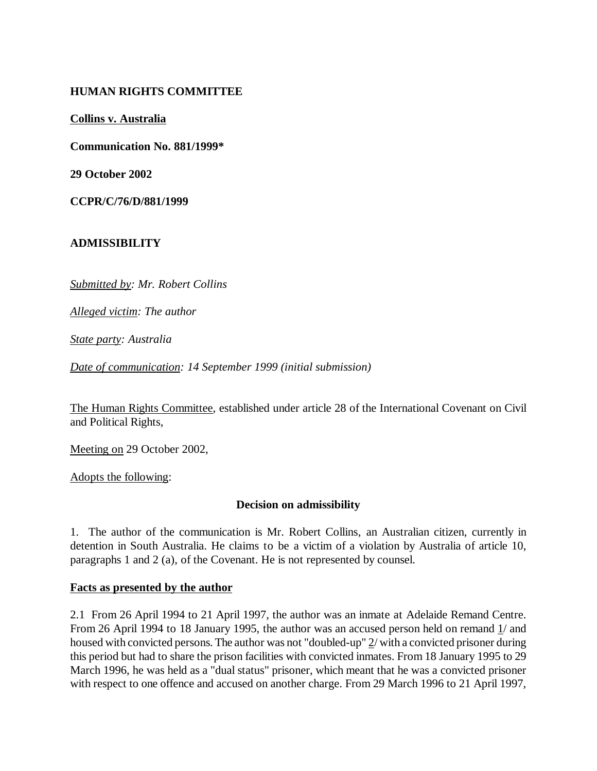## **HUMAN RIGHTS COMMITTEE**

**Collins v. Australia**

**Communication No. 881/1999\***

**29 October 2002**

**CCPR/C/76/D/881/1999**

## **ADMISSIBILITY**

*Submitted by: Mr. Robert Collins*

*Alleged victim: The author*

*State party: Australia*

*Date of communication: 14 September 1999 (initial submission)*

The Human Rights Committee, established under article 28 of the International Covenant on Civil and Political Rights,

Meeting on 29 October 2002,

Adopts the following:

#### **Decision on admissibility**

1. The author of the communication is Mr. Robert Collins, an Australian citizen, currently in detention in South Australia. He claims to be a victim of a violation by Australia of article 10, paragraphs 1 and 2 (a), of the Covenant. He is not represented by counsel.

#### **Facts as presented by the author**

2.1 From 26 April 1994 to 21 April 1997, the author was an inmate at Adelaide Remand Centre. From 26 April 1994 to 18 January 1995, the author was an accused person held on remand 1/ and housed with convicted persons. The author was not "doubled-up" 2/ with a convicted prisoner during this period but had to share the prison facilities with convicted inmates. From 18 January 1995 to 29 March 1996, he was held as a "dual status" prisoner, which meant that he was a convicted prisoner with respect to one offence and accused on another charge. From 29 March 1996 to 21 April 1997,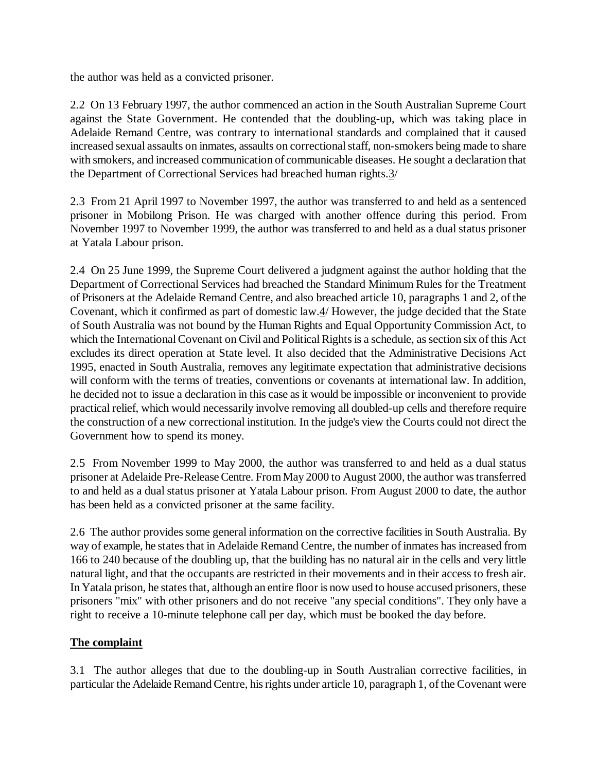the author was held as a convicted prisoner.

2.2 On 13 February 1997, the author commenced an action in the South Australian Supreme Court against the State Government. He contended that the doubling-up, which was taking place in Adelaide Remand Centre, was contrary to international standards and complained that it caused increased sexual assaults on inmates, assaults on correctional staff, non-smokers being made to share with smokers, and increased communication of communicable diseases. He sought a declaration that the Department of Correctional Services had breached human rights.3/

2.3 From 21 April 1997 to November 1997, the author was transferred to and held as a sentenced prisoner in Mobilong Prison. He was charged with another offence during this period. From November 1997 to November 1999, the author was transferred to and held as a dual status prisoner at Yatala Labour prison.

2.4 On 25 June 1999, the Supreme Court delivered a judgment against the author holding that the Department of Correctional Services had breached the Standard Minimum Rules for the Treatment of Prisoners at the Adelaide Remand Centre, and also breached article 10, paragraphs 1 and 2, of the Covenant, which it confirmed as part of domestic law.4/ However, the judge decided that the State of South Australia was not bound by the Human Rights and Equal Opportunity Commission Act, to which the International Covenant on Civil and Political Rights is a schedule, as section six of this Act excludes its direct operation at State level. It also decided that the Administrative Decisions Act 1995, enacted in South Australia, removes any legitimate expectation that administrative decisions will conform with the terms of treaties, conventions or covenants at international law. In addition, he decided not to issue a declaration in this case as it would be impossible or inconvenient to provide practical relief, which would necessarily involve removing all doubled-up cells and therefore require the construction of a new correctional institution. In the judge's view the Courts could not direct the Government how to spend its money.

2.5 From November 1999 to May 2000, the author was transferred to and held as a dual status prisoner at Adelaide Pre-Release Centre. From May 2000 to August 2000, the author was transferred to and held as a dual status prisoner at Yatala Labour prison. From August 2000 to date, the author has been held as a convicted prisoner at the same facility.

2.6 The author provides some general information on the corrective facilities in South Australia. By way of example, he states that in Adelaide Remand Centre, the number of inmates has increased from 166 to 240 because of the doubling up, that the building has no natural air in the cells and very little natural light, and that the occupants are restricted in their movements and in their access to fresh air. In Yatala prison, he states that, although an entire floor is now used to house accused prisoners, these prisoners "mix" with other prisoners and do not receive "any special conditions". They only have a right to receive a 10-minute telephone call per day, which must be booked the day before.

## **The complaint**

3.1 The author alleges that due to the doubling-up in South Australian corrective facilities, in particular the Adelaide Remand Centre, his rights under article 10, paragraph 1, of the Covenant were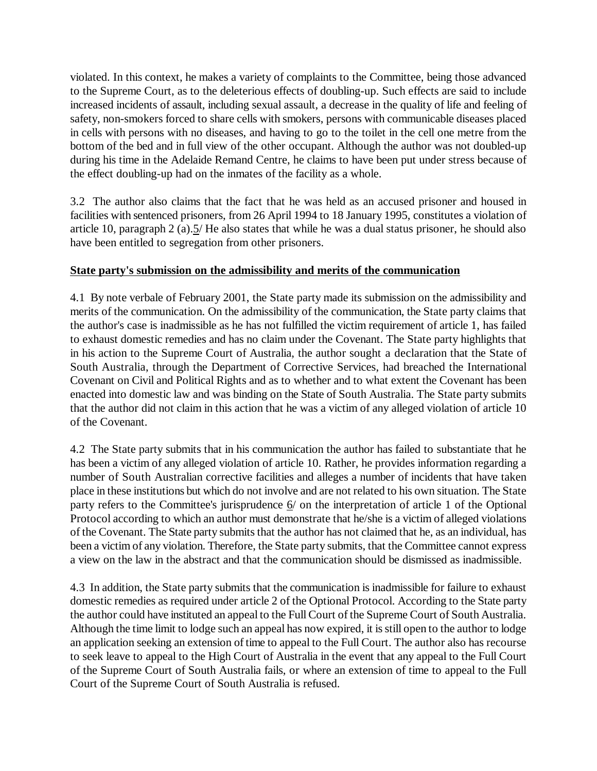violated. In this context, he makes a variety of complaints to the Committee, being those advanced to the Supreme Court, as to the deleterious effects of doubling-up. Such effects are said to include increased incidents of assault, including sexual assault, a decrease in the quality of life and feeling of safety, non-smokers forced to share cells with smokers, persons with communicable diseases placed in cells with persons with no diseases, and having to go to the toilet in the cell one metre from the bottom of the bed and in full view of the other occupant. Although the author was not doubled-up during his time in the Adelaide Remand Centre, he claims to have been put under stress because of the effect doubling-up had on the inmates of the facility as a whole.

3.2 The author also claims that the fact that he was held as an accused prisoner and housed in facilities with sentenced prisoners, from 26 April 1994 to 18 January 1995, constitutes a violation of article 10, paragraph 2 (a).5/ He also states that while he was a dual status prisoner, he should also have been entitled to segregation from other prisoners.

## **State party's submission on the admissibility and merits of the communication**

4.1 By note verbale of February 2001, the State party made its submission on the admissibility and merits of the communication. On the admissibility of the communication, the State party claims that the author's case is inadmissible as he has not fulfilled the victim requirement of article 1, has failed to exhaust domestic remedies and has no claim under the Covenant. The State party highlights that in his action to the Supreme Court of Australia, the author sought a declaration that the State of South Australia, through the Department of Corrective Services, had breached the International Covenant on Civil and Political Rights and as to whether and to what extent the Covenant has been enacted into domestic law and was binding on the State of South Australia. The State party submits that the author did not claim in this action that he was a victim of any alleged violation of article 10 of the Covenant.

4.2 The State party submits that in his communication the author has failed to substantiate that he has been a victim of any alleged violation of article 10. Rather, he provides information regarding a number of South Australian corrective facilities and alleges a number of incidents that have taken place in these institutions but which do not involve and are not related to his own situation. The State party refers to the Committee's jurisprudence 6/ on the interpretation of article 1 of the Optional Protocol according to which an author must demonstrate that he/she is a victim of alleged violations of the Covenant. The State party submits that the author has not claimed that he, as an individual, has been a victim of any violation. Therefore, the State party submits, that the Committee cannot express a view on the law in the abstract and that the communication should be dismissed as inadmissible.

4.3 In addition, the State party submits that the communication is inadmissible for failure to exhaust domestic remedies as required under article 2 of the Optional Protocol. According to the State party the author could have instituted an appeal to the Full Court of the Supreme Court of South Australia. Although the time limit to lodge such an appeal has now expired, it is still open to the author to lodge an application seeking an extension of time to appeal to the Full Court. The author also has recourse to seek leave to appeal to the High Court of Australia in the event that any appeal to the Full Court of the Supreme Court of South Australia fails, or where an extension of time to appeal to the Full Court of the Supreme Court of South Australia is refused.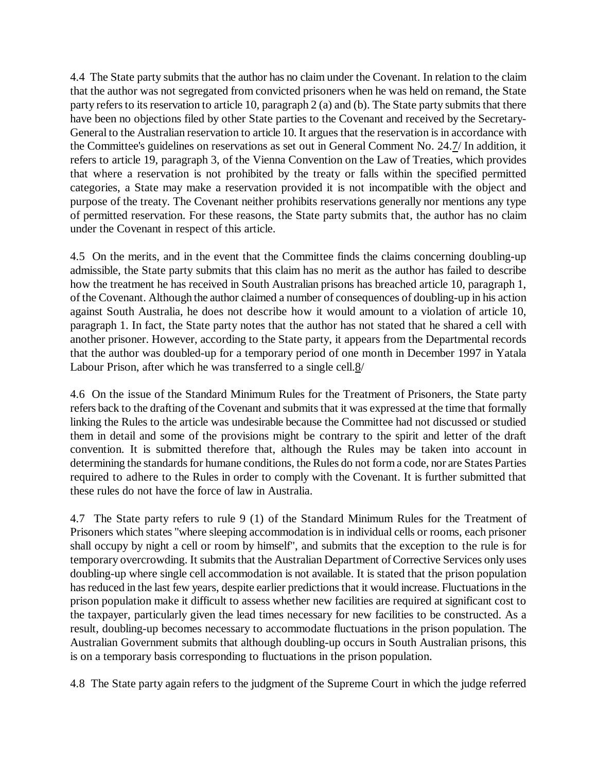4.4 The State party submits that the author has no claim under the Covenant. In relation to the claim that the author was not segregated from convicted prisoners when he was held on remand, the State party refers to its reservation to article 10, paragraph 2 (a) and (b). The State party submits that there have been no objections filed by other State parties to the Covenant and received by the Secretary-General to the Australian reservation to article 10. It argues that the reservation is in accordance with the Committee's guidelines on reservations as set out in General Comment No. 24.7/ In addition, it refers to article 19, paragraph 3, of the Vienna Convention on the Law of Treaties, which provides that where a reservation is not prohibited by the treaty or falls within the specified permitted categories, a State may make a reservation provided it is not incompatible with the object and purpose of the treaty. The Covenant neither prohibits reservations generally nor mentions any type of permitted reservation. For these reasons, the State party submits that, the author has no claim under the Covenant in respect of this article.

4.5 On the merits, and in the event that the Committee finds the claims concerning doubling-up admissible, the State party submits that this claim has no merit as the author has failed to describe how the treatment he has received in South Australian prisons has breached article 10, paragraph 1, of the Covenant. Although the author claimed a number of consequences of doubling-up in his action against South Australia, he does not describe how it would amount to a violation of article 10, paragraph 1. In fact, the State party notes that the author has not stated that he shared a cell with another prisoner. However, according to the State party, it appears from the Departmental records that the author was doubled-up for a temporary period of one month in December 1997 in Yatala Labour Prison, after which he was transferred to a single cell.8/

4.6 On the issue of the Standard Minimum Rules for the Treatment of Prisoners, the State party refers back to the drafting of the Covenant and submits that it was expressed at the time that formally linking the Rules to the article was undesirable because the Committee had not discussed or studied them in detail and some of the provisions might be contrary to the spirit and letter of the draft convention. It is submitted therefore that, although the Rules may be taken into account in determining the standards for humane conditions, the Rules do not form a code, nor are States Parties required to adhere to the Rules in order to comply with the Covenant. It is further submitted that these rules do not have the force of law in Australia.

4.7 The State party refers to rule 9 (1) of the Standard Minimum Rules for the Treatment of Prisoners which states "where sleeping accommodation is in individual cells or rooms, each prisoner shall occupy by night a cell or room by himself", and submits that the exception to the rule is for temporary overcrowding. It submits that the Australian Department of Corrective Services only uses doubling-up where single cell accommodation is not available. It is stated that the prison population has reduced in the last few years, despite earlier predictions that it would increase. Fluctuations in the prison population make it difficult to assess whether new facilities are required at significant cost to the taxpayer, particularly given the lead times necessary for new facilities to be constructed. As a result, doubling-up becomes necessary to accommodate fluctuations in the prison population. The Australian Government submits that although doubling-up occurs in South Australian prisons, this is on a temporary basis corresponding to fluctuations in the prison population.

4.8 The State party again refers to the judgment of the Supreme Court in which the judge referred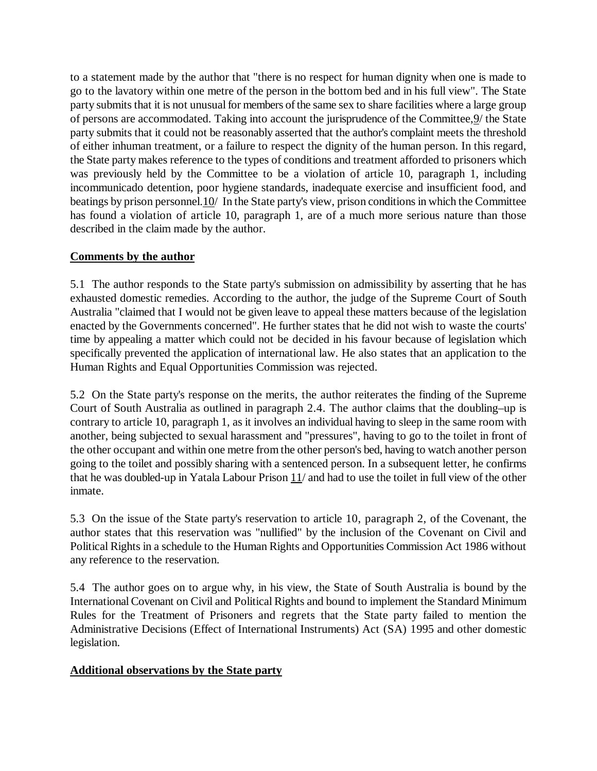to a statement made by the author that "there is no respect for human dignity when one is made to go to the lavatory within one metre of the person in the bottom bed and in his full view". The State party submits that it is not unusual for members of the same sex to share facilities where a large group of persons are accommodated. Taking into account the jurisprudence of the Committee,9/ the State party submits that it could not be reasonably asserted that the author's complaint meets the threshold of either inhuman treatment, or a failure to respect the dignity of the human person. In this regard, the State party makes reference to the types of conditions and treatment afforded to prisoners which was previously held by the Committee to be a violation of article 10, paragraph 1, including incommunicado detention, poor hygiene standards, inadequate exercise and insufficient food, and beatings by prison personnel. 10/ In the State party's view, prison conditions in which the Committee has found a violation of article 10, paragraph 1, are of a much more serious nature than those described in the claim made by the author.

## **Comments by the author**

5.1 The author responds to the State party's submission on admissibility by asserting that he has exhausted domestic remedies. According to the author, the judge of the Supreme Court of South Australia "claimed that I would not be given leave to appeal these matters because of the legislation enacted by the Governments concerned". He further states that he did not wish to waste the courts' time by appealing a matter which could not be decided in his favour because of legislation which specifically prevented the application of international law. He also states that an application to the Human Rights and Equal Opportunities Commission was rejected.

5.2 On the State party's response on the merits, the author reiterates the finding of the Supreme Court of South Australia as outlined in paragraph 2.4. The author claims that the doubling–up is contrary to article 10, paragraph 1, as it involves an individual having to sleep in the same room with another, being subjected to sexual harassment and "pressures", having to go to the toilet in front of the other occupant and within one metre from the other person's bed, having to watch another person going to the toilet and possibly sharing with a sentenced person. In a subsequent letter, he confirms that he was doubled-up in Yatala Labour Prison 11/ and had to use the toilet in full view of the other inmate.

5.3 On the issue of the State party's reservation to article 10, paragraph 2, of the Covenant, the author states that this reservation was "nullified" by the inclusion of the Covenant on Civil and Political Rights in a schedule to the Human Rights and Opportunities Commission Act 1986 without any reference to the reservation.

5.4 The author goes on to argue why, in his view, the State of South Australia is bound by the International Covenant on Civil and Political Rights and bound to implement the Standard Minimum Rules for the Treatment of Prisoners and regrets that the State party failed to mention the Administrative Decisions (Effect of International Instruments) Act (SA) 1995 and other domestic legislation.

## **Additional observations by the State party**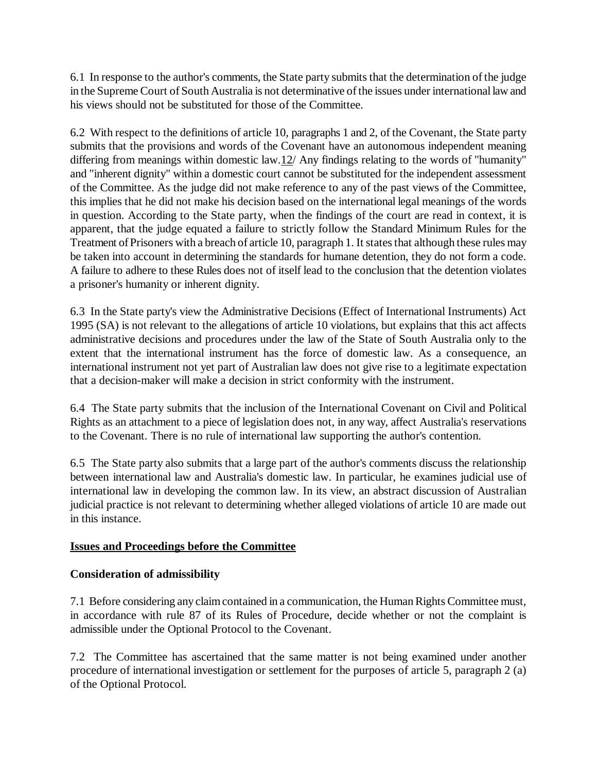6.1 In response to the author's comments, the State party submits that the determination of the judge in the Supreme Court of South Australia is not determinative of the issues under international law and his views should not be substituted for those of the Committee.

6.2 With respect to the definitions of article 10, paragraphs 1 and 2, of the Covenant, the State party submits that the provisions and words of the Covenant have an autonomous independent meaning differing from meanings within domestic law.12/ Any findings relating to the words of "humanity" and "inherent dignity" within a domestic court cannot be substituted for the independent assessment of the Committee. As the judge did not make reference to any of the past views of the Committee, this implies that he did not make his decision based on the international legal meanings of the words in question. According to the State party, when the findings of the court are read in context, it is apparent, that the judge equated a failure to strictly follow the Standard Minimum Rules for the Treatment of Prisoners with a breach of article 10, paragraph 1. It states that although these rules may be taken into account in determining the standards for humane detention, they do not form a code. A failure to adhere to these Rules does not of itself lead to the conclusion that the detention violates a prisoner's humanity or inherent dignity.

6.3 In the State party's view the Administrative Decisions (Effect of International Instruments) Act 1995 (SA) is not relevant to the allegations of article 10 violations, but explains that this act affects administrative decisions and procedures under the law of the State of South Australia only to the extent that the international instrument has the force of domestic law. As a consequence, an international instrument not yet part of Australian law does not give rise to a legitimate expectation that a decision-maker will make a decision in strict conformity with the instrument.

6.4 The State party submits that the inclusion of the International Covenant on Civil and Political Rights as an attachment to a piece of legislation does not, in any way, affect Australia's reservations to the Covenant. There is no rule of international law supporting the author's contention.

6.5 The State party also submits that a large part of the author's comments discuss the relationship between international law and Australia's domestic law. In particular, he examines judicial use of international law in developing the common law. In its view, an abstract discussion of Australian judicial practice is not relevant to determining whether alleged violations of article 10 are made out in this instance.

## **Issues and Proceedings before the Committee**

## **Consideration of admissibility**

7.1 Before considering any claim contained in a communication, the Human Rights Committee must, in accordance with rule 87 of its Rules of Procedure, decide whether or not the complaint is admissible under the Optional Protocol to the Covenant.

7.2 The Committee has ascertained that the same matter is not being examined under another procedure of international investigation or settlement for the purposes of article 5, paragraph 2 (a) of the Optional Protocol.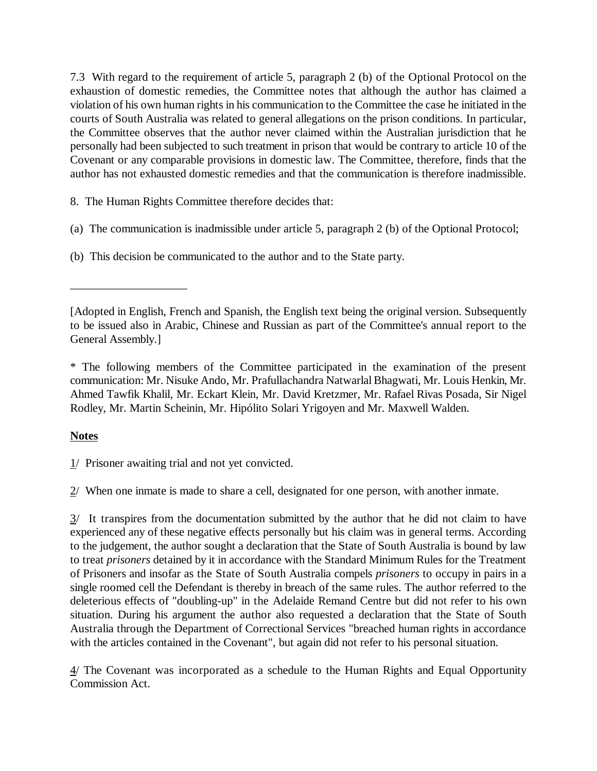7.3 With regard to the requirement of article 5, paragraph 2 (b) of the Optional Protocol on the exhaustion of domestic remedies, the Committee notes that although the author has claimed a violation of his own human rights in his communication to the Committee the case he initiated in the courts of South Australia was related to general allegations on the prison conditions. In particular, the Committee observes that the author never claimed within the Australian jurisdiction that he personally had been subjected to such treatment in prison that would be contrary to article 10 of the Covenant or any comparable provisions in domestic law. The Committee, therefore, finds that the author has not exhausted domestic remedies and that the communication is therefore inadmissible.

8. The Human Rights Committee therefore decides that:

(a) The communication is inadmissible under article 5, paragraph 2 (b) of the Optional Protocol;

(b) This decision be communicated to the author and to the State party.

# **Notes**

\_\_\_\_\_\_\_\_\_\_\_\_\_\_\_\_\_\_\_\_

1/ Prisoner awaiting trial and not yet convicted.

 $2$  When one inmate is made to share a cell, designated for one person, with another inmate.

 $3/$  It transpires from the documentation submitted by the author that he did not claim to have experienced any of these negative effects personally but his claim was in general terms. According to the judgement, the author sought a declaration that the State of South Australia is bound by law to treat *prisoners* detained by it in accordance with the Standard Minimum Rules for the Treatment of Prisoners and insofar as the State of South Australia compels *prisoners* to occupy in pairs in a single roomed cell the Defendant is thereby in breach of the same rules. The author referred to the deleterious effects of "doubling-up" in the Adelaide Remand Centre but did not refer to his own situation. During his argument the author also requested a declaration that the State of South Australia through the Department of Correctional Services "breached human rights in accordance with the articles contained in the Covenant", but again did not refer to his personal situation.

4/ The Covenant was incorporated as a schedule to the Human Rights and Equal Opportunity Commission Act.

<sup>[</sup>Adopted in English, French and Spanish, the English text being the original version. Subsequently to be issued also in Arabic, Chinese and Russian as part of the Committee's annual report to the General Assembly.]

<sup>\*</sup> The following members of the Committee participated in the examination of the present communication: Mr. Nisuke Ando, Mr. Prafullachandra Natwarlal Bhagwati, Mr. Louis Henkin, Mr. Ahmed Tawfik Khalil, Mr. Eckart Klein, Mr. David Kretzmer, Mr. Rafael Rivas Posada, Sir Nigel Rodley, Mr. Martin Scheinin, Mr. Hipólito Solari Yrigoyen and Mr. Maxwell Walden.